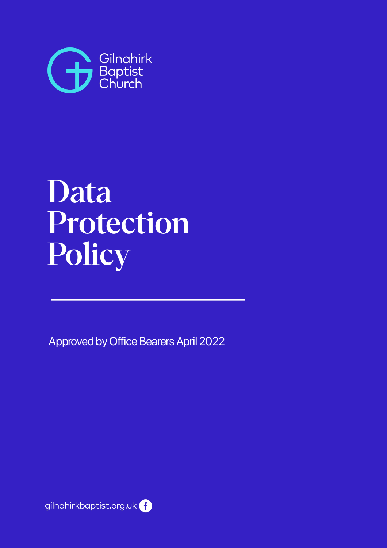

# Data Protection Policy

Approved by Office Bearers April 2022

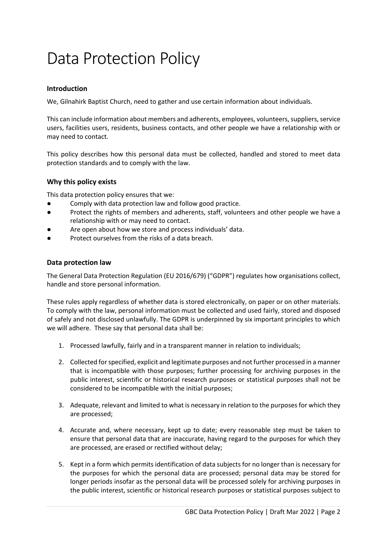## Data Protection Policy

#### **Introduction**

We, Gilnahirk Baptist Church, need to gather and use certain information about individuals.

This can include information about members and adherents, employees, volunteers, suppliers, service users, facilities users, residents, business contacts, and other people we have a relationship with or may need to contact.

This policy describes how this personal data must be collected, handled and stored to meet data protection standards and to comply with the law.

#### **Why this policy exists**

This data protection policy ensures that we:

- Comply with data protection law and follow good practice.
- Protect the rights of members and adherents, staff, volunteers and other people we have a relationship with or may need to contact.
- Are open about how we store and process individuals' data.
- Protect ourselves from the risks of a data breach.

#### **Data protection law**

The General Data Protection Regulation (EU 2016/679) ("GDPR") regulates how organisations collect, handle and store personal information.

These rules apply regardless of whether data is stored electronically, on paper or on other materials. To comply with the law, personal information must be collected and used fairly, stored and disposed of safely and not disclosed unlawfully. The GDPR is underpinned by six important principles to which we will adhere. These say that personal data shall be:

- 1. Processed lawfully, fairly and in a transparent manner in relation to individuals;
- 2. Collected for specified, explicit and legitimate purposes and not further processed in a manner that is incompatible with those purposes; further processing for archiving purposes in the public interest, scientific or historical research purposes or statistical purposes shall not be considered to be incompatible with the initial purposes;
- 3. Adequate, relevant and limited to what is necessary in relation to the purposes for which they are processed;
- 4. Accurate and, where necessary, kept up to date; every reasonable step must be taken to ensure that personal data that are inaccurate, having regard to the purposes for which they are processed, are erased or rectified without delay;
- 5. Kept in a form which permits identification of data subjects for no longer than is necessary for the purposes for which the personal data are processed; personal data may be stored for longer periods insofar as the personal data will be processed solely for archiving purposes in the public interest, scientific or historical research purposes or statistical purposes subject to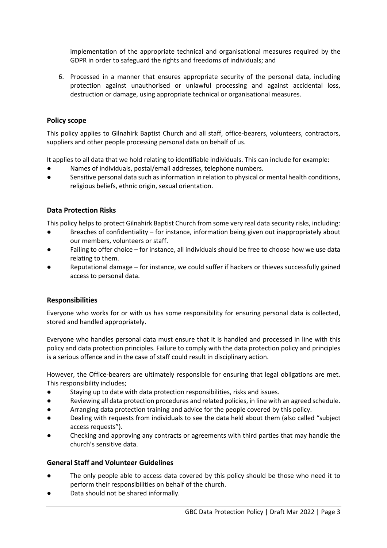implementation of the appropriate technical and organisational measures required by the GDPR in order to safeguard the rights and freedoms of individuals; and

6. Processed in a manner that ensures appropriate security of the personal data, including protection against unauthorised or unlawful processing and against accidental loss, destruction or damage, using appropriate technical or organisational measures.

#### **Policy scope**

This policy applies to Gilnahirk Baptist Church and all staff, office-bearers, volunteers, contractors, suppliers and other people processing personal data on behalf of us.

It applies to all data that we hold relating to identifiable individuals. This can include for example:

- Names of individuals, postal/email addresses, telephone numbers.
- Sensitive personal data such as information in relation to physical or mental health conditions, religious beliefs, ethnic origin, sexual orientation.

#### **Data Protection Risks**

This policy helps to protect Gilnahirk Baptist Church from some very real data security risks, including:

- Breaches of confidentiality for instance, information being given out inappropriately about our members, volunteers or staff.
- Failing to offer choice for instance, all individuals should be free to choose how we use data relating to them.
- Reputational damage for instance, we could suffer if hackers or thieves successfully gained access to personal data.

#### **Responsibilities**

Everyone who works for or with us has some responsibility for ensuring personal data is collected, stored and handled appropriately.

Everyone who handles personal data must ensure that it is handled and processed in line with this policy and data protection principles. Failure to comply with the data protection policy and principles is a serious offence and in the case of staff could result in disciplinary action.

However, the Office-bearers are ultimately responsible for ensuring that legal obligations are met. This responsibility includes;

- Staying up to date with data protection responsibilities, risks and issues.
- Reviewing all data protection procedures and related policies, in line with an agreed schedule.
- Arranging data protection training and advice for the people covered by this policy.
- Dealing with requests from individuals to see the data held about them (also called "subject access requests").
- Checking and approving any contracts or agreements with third parties that may handle the church's sensitive data.

#### **General Staff and Volunteer Guidelines**

- The only people able to access data covered by this policy should be those who need it to perform their responsibilities on behalf of the church.
- Data should not be shared informally.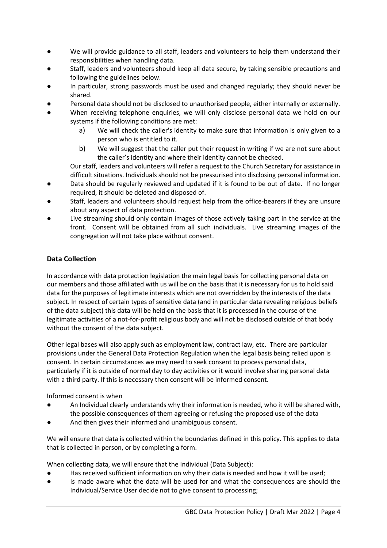- We will provide guidance to all staff, leaders and volunteers to help them understand their responsibilities when handling data.
- Staff, leaders and volunteers should keep all data secure, by taking sensible precautions and following the guidelines below.
- In particular, strong passwords must be used and changed regularly; they should never be shared.
- Personal data should not be disclosed to unauthorised people, either internally or externally.
- When receiving telephone enquiries, we will only disclose personal data we hold on our systems if the following conditions are met:
	- a) We will check the caller's identity to make sure that information is only given to a person who is entitled to it.
	- b) We will suggest that the caller put their request in writing if we are not sure about the caller's identity and where their identity cannot be checked.

Our staff, leaders and volunteers will refer a request to the Church Secretary for assistance in difficult situations. Individuals should not be pressurised into disclosing personal information.

- Data should be regularly reviewed and updated if it is found to be out of date. If no longer required, it should be deleted and disposed of.
- Staff, leaders and volunteers should request help from the office-bearers if they are unsure about any aspect of data protection.
- Live streaming should only contain images of those actively taking part in the service at the front. Consent will be obtained from all such individuals. Live streaming images of the congregation will not take place without consent.

#### **Data Collection**

In accordance with data protection legislation the main legal basis for collecting personal data on our members and those affiliated with us will be on the basis that it is necessary for us to hold said data for the purposes of legitimate interests which are not overridden by the interests of the data subject. In respect of certain types of sensitive data (and in particular data revealing religious beliefs of the data subject) this data will be held on the basis that it is processed in the course of the legitimate activities of a not-for-profit religious body and will not be disclosed outside of that body without the consent of the data subject.

Other legal bases will also apply such as employment law, contract law, etc. There are particular provisions under the General Data Protection Regulation when the legal basis being relied upon is consent. In certain circumstances we may need to seek consent to process personal data, particularly if it is outside of normal day to day activities or it would involve sharing personal data with a third party. If this is necessary then consent will be informed consent.

Informed consent is when

- An Individual clearly understands why their information is needed, who it will be shared with, the possible consequences of them agreeing or refusing the proposed use of the data
- And then gives their informed and unambiguous consent.

We will ensure that data is collected within the boundaries defined in this policy. This applies to data that is collected in person, or by completing a form.

When collecting data, we will ensure that the Individual (Data Subject):

- Has received sufficient information on why their data is needed and how it will be used;
- Is made aware what the data will be used for and what the consequences are should the Individual/Service User decide not to give consent to processing;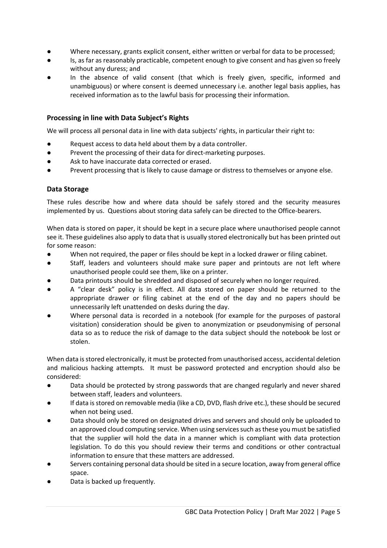- Where necessary, grants explicit consent, either written or verbal for data to be processed;
- Is, as far as reasonably practicable, competent enough to give consent and has given so freely without any duress; and
- In the absence of valid consent (that which is freely given, specific, informed and unambiguous) or where consent is deemed unnecessary i.e. another legal basis applies, has received information as to the lawful basis for processing their information.

#### **Processing in line with Data Subject's Rights**

We will process all personal data in line with data subjects' rights, in particular their right to:

- Request access to data held about them by a data controller.
- Prevent the processing of their data for direct-marketing purposes.
- Ask to have inaccurate data corrected or erased.
- Prevent processing that is likely to cause damage or distress to themselves or anyone else.

#### **Data Storage**

These rules describe how and where data should be safely stored and the security measures implemented by us. Questions about storing data safely can be directed to the Office-bearers.

When data is stored on paper, it should be kept in a secure place where unauthorised people cannot see it. These guidelines also apply to data that is usually stored electronically but has been printed out for some reason:

- When not required, the paper or files should be kept in a locked drawer or filing cabinet.
- Staff, leaders and volunteers should make sure paper and printouts are not left where unauthorised people could see them, like on a printer.
- Data printouts should be shredded and disposed of securely when no longer required.
- A "clear desk" policy is in effect. All data stored on paper should be returned to the appropriate drawer or filing cabinet at the end of the day and no papers should be unnecessarily left unattended on desks during the day.
- Where personal data is recorded in a notebook (for example for the purposes of pastoral visitation) consideration should be given to anonymization or pseudonymising of personal data so as to reduce the risk of damage to the data subject should the notebook be lost or stolen.

When data is stored electronically, it must be protected from unauthorised access, accidental deletion and malicious hacking attempts. It must be password protected and encryption should also be considered:

- Data should be protected by strong passwords that are changed regularly and never shared between staff, leaders and volunteers.
- If data is stored on removable media (like a CD, DVD, flash drive etc.), these should be secured when not being used.
- Data should only be stored on designated drives and servers and should only be uploaded to an approved cloud computing service. When using services such as these you must be satisfied that the supplier will hold the data in a manner which is compliant with data protection legislation. To do this you should review their terms and conditions or other contractual information to ensure that these matters are addressed.
- Servers containing personal data should be sited in a secure location, away from general office space.
- Data is backed up frequently.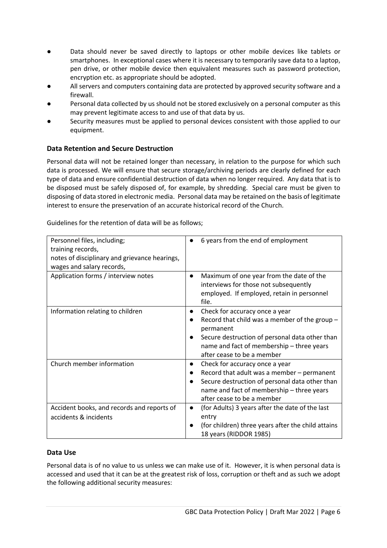- Data should never be saved directly to laptops or other mobile devices like tablets or smartphones. In exceptional cases where it is necessary to temporarily save data to a laptop, pen drive, or other mobile device then equivalent measures such as password protection, encryption etc. as appropriate should be adopted.
- All servers and computers containing data are protected by approved security software and a firewall.
- Personal data collected by us should not be stored exclusively on a personal computer as this may prevent legitimate access to and use of that data by us.
- Security measures must be applied to personal devices consistent with those applied to our equipment.

#### **Data Retention and Secure Destruction**

Personal data will not be retained longer than necessary, in relation to the purpose for which such data is processed. We will ensure that secure storage/archiving periods are clearly defined for each type of data and ensure confidential destruction of data when no longer required. Any data that is to be disposed must be safely disposed of, for example, by shredding. Special care must be given to disposing of data stored in electronic media. Personal data may be retained on the basis of legitimate interest to ensure the preservation of an accurate historical record of the Church.

Guidelines for the retention of data will be as follows;

| Personnel files, including;<br>training records,<br>notes of disciplinary and grievance hearings,<br>wages and salary records, | 6 years from the end of employment                                                                                                                                                                                                     |
|--------------------------------------------------------------------------------------------------------------------------------|----------------------------------------------------------------------------------------------------------------------------------------------------------------------------------------------------------------------------------------|
| Application forms / interview notes                                                                                            | Maximum of one year from the date of the<br>$\bullet$<br>interviews for those not subsequently<br>employed. If employed, retain in personnel<br>file.                                                                                  |
| Information relating to children                                                                                               | Check for accuracy once a year<br>$\bullet$<br>Record that child was a member of the group -<br>permanent<br>Secure destruction of personal data other than<br>name and fact of membership - three years<br>after cease to be a member |
| Church member information                                                                                                      | Check for accuracy once a year<br>Record that adult was a member - permanent<br>Secure destruction of personal data other than<br>name and fact of membership - three years<br>after cease to be a member                              |
| Accident books, and records and reports of<br>accidents & incidents                                                            | (for Adults) 3 years after the date of the last<br>entry<br>(for children) three years after the child attains<br>18 years (RIDDOR 1985)                                                                                               |

#### **Data Use**

Personal data is of no value to us unless we can make use of it. However, it is when personal data is accessed and used that it can be at the greatest risk of loss, corruption or theft and as such we adopt the following additional security measures: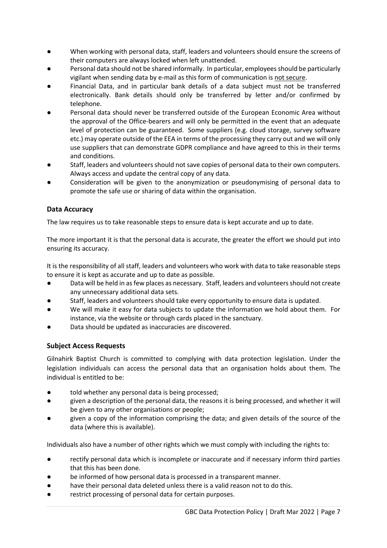- When working with personal data, staff, leaders and volunteers should ensure the screens of their computers are always locked when left unattended.
- Personal data should not be shared informally. In particular, employees should be particularly vigilant when sending data by e-mail as this form of communication is not secure.
- Financial Data, and in particular bank details of a data subject must not be transferred electronically. Bank details should only be transferred by letter and/or confirmed by telephone.
- Personal data should never be transferred outside of the European Economic Area without the approval of the Office-bearers and will only be permitted in the event that an adequate level of protection can be guaranteed. Some suppliers (e.g. cloud storage, survey software etc.) may operate outside of the EEA in terms of the processing they carry out and we will only use suppliers that can demonstrate GDPR compliance and have agreed to this in their terms and conditions.
- Staff, leaders and volunteers should not save copies of personal data to their own computers. Always access and update the central copy of any data.
- Consideration will be given to the anonymization or pseudonymising of personal data to promote the safe use or sharing of data within the organisation.

#### **Data Accuracy**

The law requires us to take reasonable steps to ensure data is kept accurate and up to date.

The more important it is that the personal data is accurate, the greater the effort we should put into ensuring its accuracy.

It is the responsibility of all staff, leaders and volunteers who work with data to take reasonable steps to ensure it is kept as accurate and up to date as possible.

- Data will be held in as few places as necessary. Staff, leaders and volunteers should not create any unnecessary additional data sets.
- Staff, leaders and volunteers should take every opportunity to ensure data is updated.
- We will make it easy for data subjects to update the information we hold about them. For instance, via the website or through cards placed in the sanctuary.
- Data should be updated as inaccuracies are discovered.

#### **Subject Access Requests**

Gilnahirk Baptist Church is committed to complying with data protection legislation. Under the legislation individuals can access the personal data that an organisation holds about them. The individual is entitled to be:

- told whether any personal data is being processed;
- given a description of the personal data, the reasons it is being processed, and whether it will be given to any other organisations or people;
- given a copy of the information comprising the data; and given details of the source of the data (where this is available).

Individuals also have a number of other rights which we must comply with including the rights to:

- rectify personal data which is incomplete or inaccurate and if necessary inform third parties that this has been done.
- be informed of how personal data is processed in a transparent manner.
- have their personal data deleted unless there is a valid reason not to do this.
- restrict processing of personal data for certain purposes.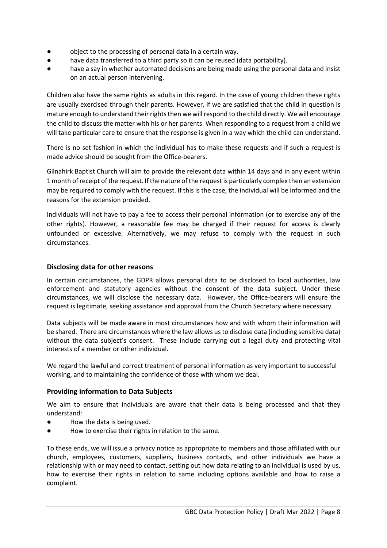- object to the processing of personal data in a certain way.
- have data transferred to a third party so it can be reused (data portability).
- have a say in whether automated decisions are being made using the personal data and insist on an actual person intervening.

Children also have the same rights as adults in this regard. In the case of young children these rights are usually exercised through their parents. However, if we are satisfied that the child in question is mature enough to understand their rights then we will respond to the child directly. We will encourage the child to discuss the matter with his or her parents. When responding to a request from a child we will take particular care to ensure that the response is given in a way which the child can understand.

There is no set fashion in which the individual has to make these requests and if such a request is made advice should be sought from the Office-bearers.

Gilnahirk Baptist Church will aim to provide the relevant data within 14 days and in any event within 1 month of receipt of the request. If the nature of the request is particularly complex then an extension may be required to comply with the request. If this is the case, the individual will be informed and the reasons for the extension provided.

Individuals will not have to pay a fee to access their personal information (or to exercise any of the other rights). However, a reasonable fee may be charged if their request for access is clearly unfounded or excessive. Alternatively, we may refuse to comply with the request in such circumstances.

#### **Disclosing data for other reasons**

In certain circumstances, the GDPR allows personal data to be disclosed to local authorities, law enforcement and statutory agencies without the consent of the data subject. Under these circumstances, we will disclose the necessary data. However, the Office-bearers will ensure the request is legitimate, seeking assistance and approval from the Church Secretary where necessary.

Data subjects will be made aware in most circumstances how and with whom their information will be shared. There are circumstances where the law allows usto disclose data (including sensitive data) without the data subject's consent. These include carrying out a legal duty and protecting vital interests of a member or other individual.

We regard the lawful and correct treatment of personal information as very important to successful working, and to maintaining the confidence of those with whom we deal.

#### **Providing information to Data Subjects**

We aim to ensure that individuals are aware that their data is being processed and that they understand:

- How the data is being used.
- How to exercise their rights in relation to the same.

To these ends, we will issue a privacy notice as appropriate to members and those affiliated with our church, employees, customers, suppliers, business contacts, and other individuals we have a relationship with or may need to contact, setting out how data relating to an individual is used by us, how to exercise their rights in relation to same including options available and how to raise a complaint.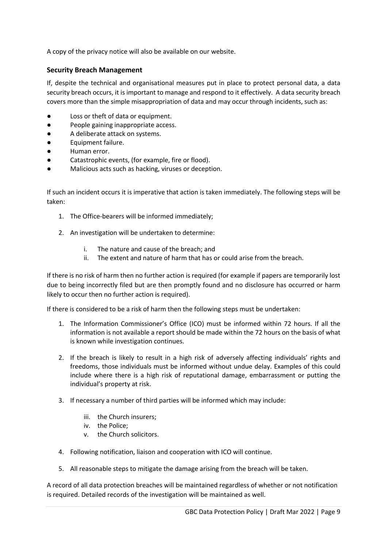A copy of the privacy notice will also be available on our website.

#### **Security Breach Management**

If, despite the technical and organisational measures put in place to protect personal data, a data security breach occurs, it is important to manage and respond to it effectively. A data security breach covers more than the simple misappropriation of data and may occur through incidents, such as:

- Loss or theft of data or equipment.
- People gaining inappropriate access.
- A deliberate attack on systems.
- Equipment failure.
- Human error.
- Catastrophic events, (for example, fire or flood).
- Malicious acts such as hacking, viruses or deception.

If such an incident occurs it is imperative that action is taken immediately. The following steps will be taken:

- 1. The Office-bearers will be informed immediately;
- 2. An investigation will be undertaken to determine:
	- i. The nature and cause of the breach; and
	- ii. The extent and nature of harm that has or could arise from the breach.

If there is no risk of harm then no further action is required (for example if papers are temporarily lost due to being incorrectly filed but are then promptly found and no disclosure has occurred or harm likely to occur then no further action is required).

If there is considered to be a risk of harm then the following steps must be undertaken:

- 1. The Information Commissioner's Office (ICO) must be informed within 72 hours. If all the information is not available a report should be made within the 72 hours on the basis of what is known while investigation continues.
- 2. If the breach is likely to result in a high risk of adversely affecting individuals' rights and freedoms, those individuals must be informed without undue delay. Examples of this could include where there is a high risk of reputational damage, embarrassment or putting the individual's property at risk.
- 3. If necessary a number of third parties will be informed which may include:
	- iii. the Church insurers;
	- iv. the Police;
	- v. the Church solicitors.
- 4. Following notification, liaison and cooperation with ICO will continue.
- 5. All reasonable steps to mitigate the damage arising from the breach will be taken.

A record of all data protection breaches will be maintained regardless of whether or not notification is required. Detailed records of the investigation will be maintained as well.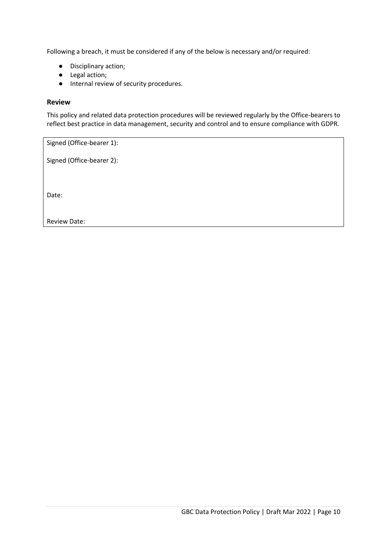Following a breach, it must be considered if any of the below is necessary and/or required:

- Disciplinary action;
- Legal action;
- Internal review of security procedures.

#### **Review**

This policy and related data protection procedures will be reviewed regularly by the Office-bearers to reflect best practice in data management, security and control and to ensure compliance with GDPR.

| Signed (Office-bearer 1): |
|---------------------------|
| Signed (Office-bearer 2): |
|                           |
|                           |
| Date:                     |
|                           |

Review Date: